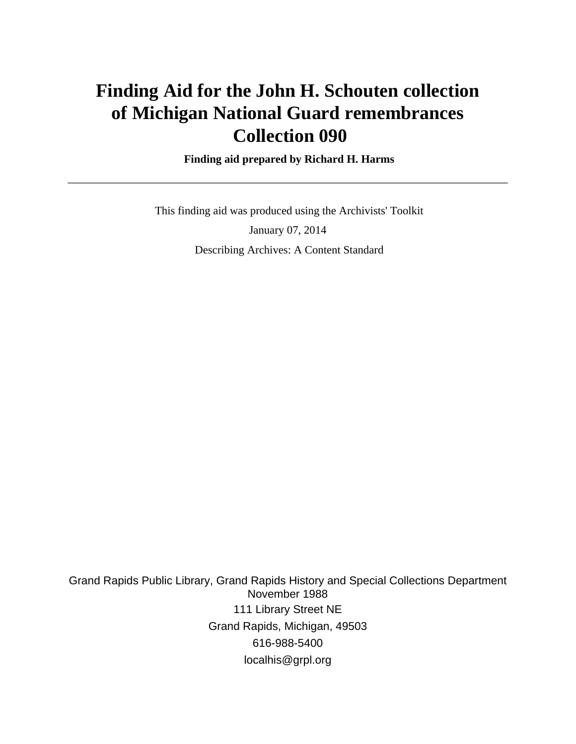# **Finding Aid for the John H. Schouten collection of Michigan National Guard remembrances Collection 090**

 **Finding aid prepared by Richard H. Harms**

 This finding aid was produced using the Archivists' Toolkit January 07, 2014 Describing Archives: A Content Standard

Grand Rapids Public Library, Grand Rapids History and Special Collections Department November 1988 111 Library Street NE Grand Rapids, Michigan, 49503 616-988-5400 localhis@grpl.org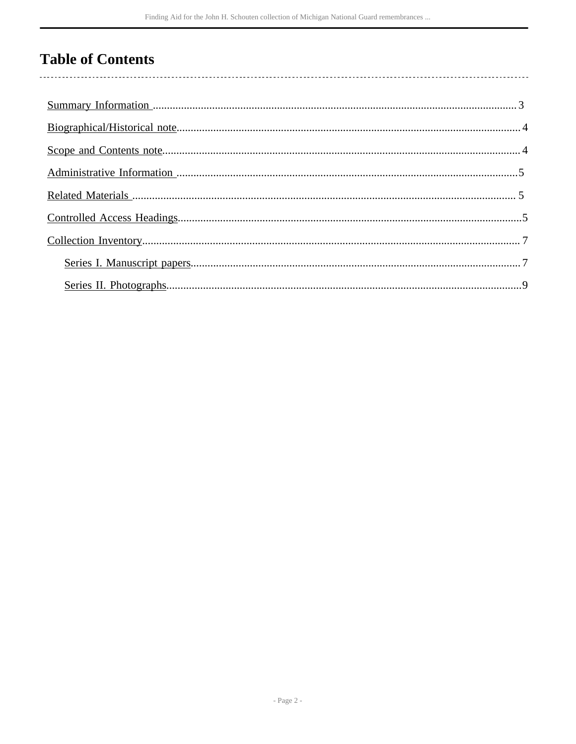# **Table of Contents**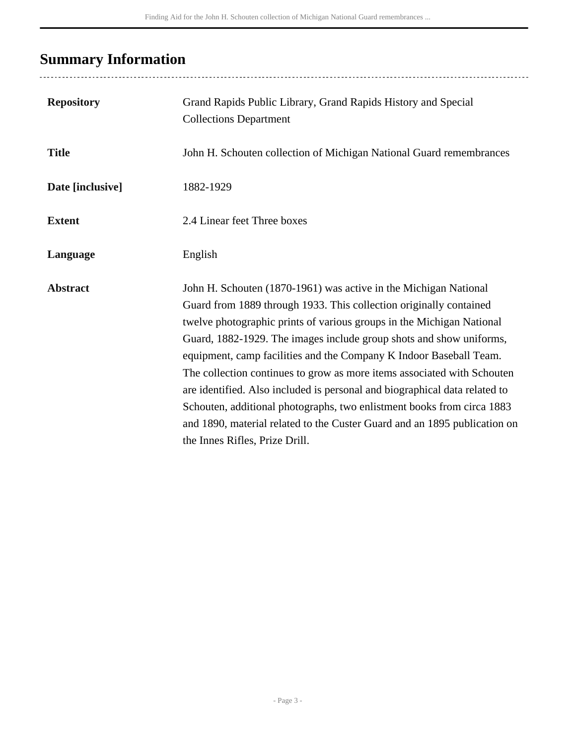# <span id="page-2-0"></span>**Summary Information**

| <b>Repository</b> | Grand Rapids Public Library, Grand Rapids History and Special<br><b>Collections Department</b>                                                                                                                                                                                                                                                                                                                                                                                                                                                                                                                                                                                                                 |
|-------------------|----------------------------------------------------------------------------------------------------------------------------------------------------------------------------------------------------------------------------------------------------------------------------------------------------------------------------------------------------------------------------------------------------------------------------------------------------------------------------------------------------------------------------------------------------------------------------------------------------------------------------------------------------------------------------------------------------------------|
| <b>Title</b>      | John H. Schouten collection of Michigan National Guard remembrances                                                                                                                                                                                                                                                                                                                                                                                                                                                                                                                                                                                                                                            |
| Date [inclusive]  | 1882-1929                                                                                                                                                                                                                                                                                                                                                                                                                                                                                                                                                                                                                                                                                                      |
| <b>Extent</b>     | 2.4 Linear feet Three boxes                                                                                                                                                                                                                                                                                                                                                                                                                                                                                                                                                                                                                                                                                    |
| Language          | English                                                                                                                                                                                                                                                                                                                                                                                                                                                                                                                                                                                                                                                                                                        |
| <b>Abstract</b>   | John H. Schouten (1870-1961) was active in the Michigan National<br>Guard from 1889 through 1933. This collection originally contained<br>twelve photographic prints of various groups in the Michigan National<br>Guard, 1882-1929. The images include group shots and show uniforms,<br>equipment, camp facilities and the Company K Indoor Baseball Team.<br>The collection continues to grow as more items associated with Schouten<br>are identified. Also included is personal and biographical data related to<br>Schouten, additional photographs, two enlistment books from circa 1883<br>and 1890, material related to the Custer Guard and an 1895 publication on<br>the Innes Rifles, Prize Drill. |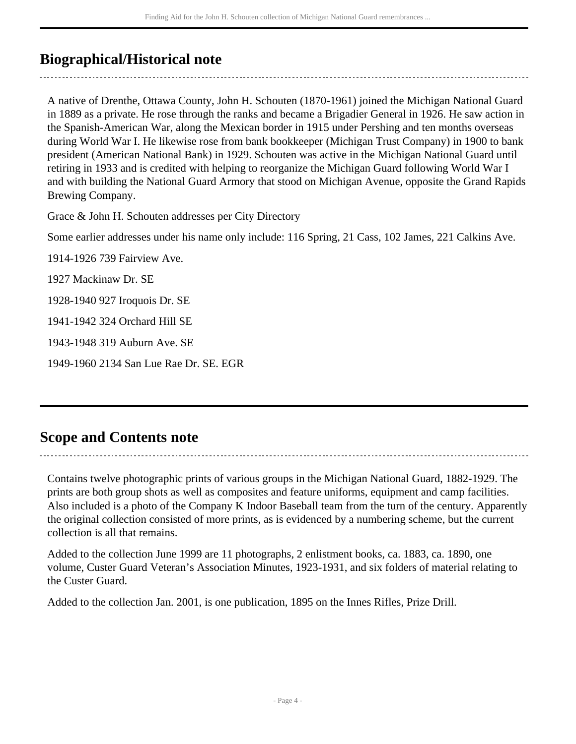## <span id="page-3-0"></span>**Biographical/Historical note**

A native of Drenthe, Ottawa County, John H. Schouten (1870-1961) joined the Michigan National Guard in 1889 as a private. He rose through the ranks and became a Brigadier General in 1926. He saw action in the Spanish-American War, along the Mexican border in 1915 under Pershing and ten months overseas during World War I. He likewise rose from bank bookkeeper (Michigan Trust Company) in 1900 to bank president (American National Bank) in 1929. Schouten was active in the Michigan National Guard until retiring in 1933 and is credited with helping to reorganize the Michigan Guard following World War I and with building the National Guard Armory that stood on Michigan Avenue, opposite the Grand Rapids Brewing Company.

Grace & John H. Schouten addresses per City Directory

Some earlier addresses under his name only include: 116 Spring, 21 Cass, 102 James, 221 Calkins Ave.

1914-1926 739 Fairview Ave.

1927 Mackinaw Dr. SE

1928-1940 927 Iroquois Dr. SE

1941-1942 324 Orchard Hill SE

1943-1948 319 Auburn Ave. SE

1949-1960 2134 San Lue Rae Dr. SE. EGR

### <span id="page-3-1"></span>**Scope and Contents note**

Contains twelve photographic prints of various groups in the Michigan National Guard, 1882-1929. The

prints are both group shots as well as composites and feature uniforms, equipment and camp facilities. Also included is a photo of the Company K Indoor Baseball team from the turn of the century. Apparently the original collection consisted of more prints, as is evidenced by a numbering scheme, but the current collection is all that remains.

Added to the collection June 1999 are 11 photographs, 2 enlistment books, ca. 1883, ca. 1890, one volume, Custer Guard Veteran's Association Minutes, 1923-1931, and six folders of material relating to the Custer Guard.

Added to the collection Jan. 2001, is one publication, 1895 on the Innes Rifles, Prize Drill.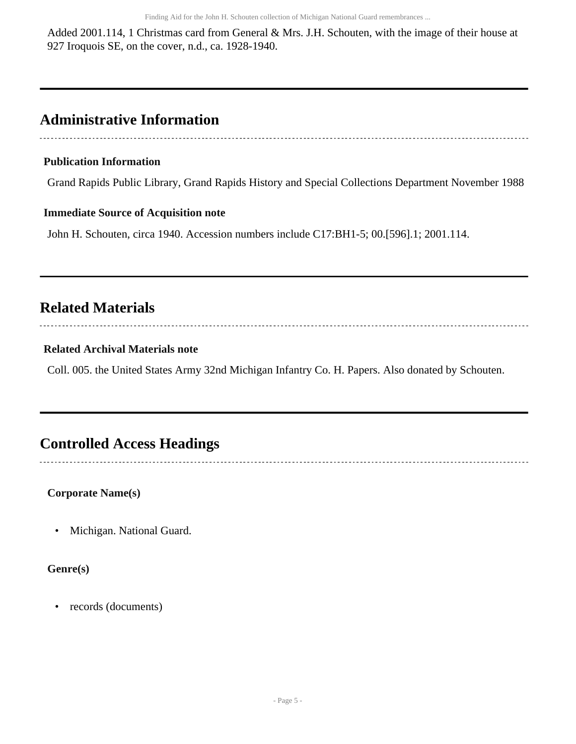Added 2001.114, 1 Christmas card from General & Mrs. J.H. Schouten, with the image of their house at 927 Iroquois SE, on the cover, n.d., ca. 1928-1940.

## <span id="page-4-0"></span>**Administrative Information**

#### **Publication Information**

Grand Rapids Public Library, Grand Rapids History and Special Collections Department November 1988

#### **Immediate Source of Acquisition note**

John H. Schouten, circa 1940. Accession numbers include C17:BH1-5; 00.[596].1; 2001.114.

## <span id="page-4-1"></span>**Related Materials**

#### 

#### **Related Archival Materials note**

Coll. 005. the United States Army 32nd Michigan Infantry Co. H. Papers. Also donated by Schouten.

### <span id="page-4-2"></span>**Controlled Access Headings**

**Corporate Name(s)**

• Michigan. National Guard.

#### **Genre(s)**

• records (documents)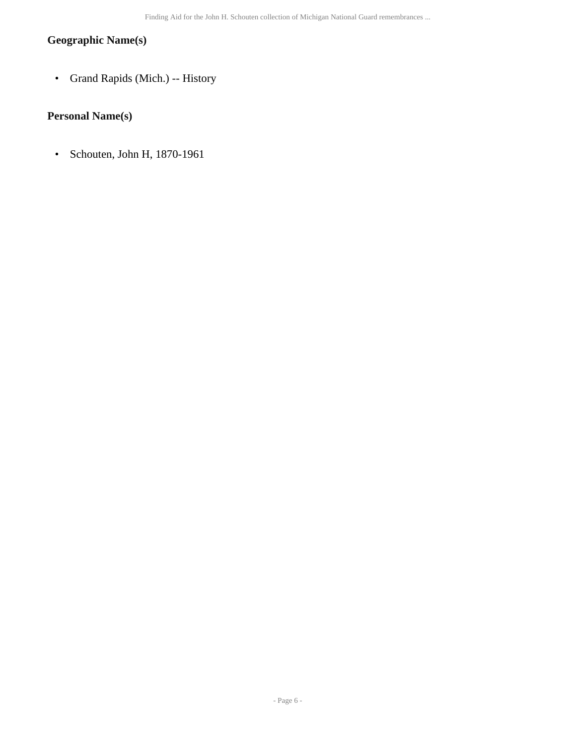#### **Geographic Name(s)**

• Grand Rapids (Mich.) -- History

### **Personal Name(s)**

• Schouten, John H, 1870-1961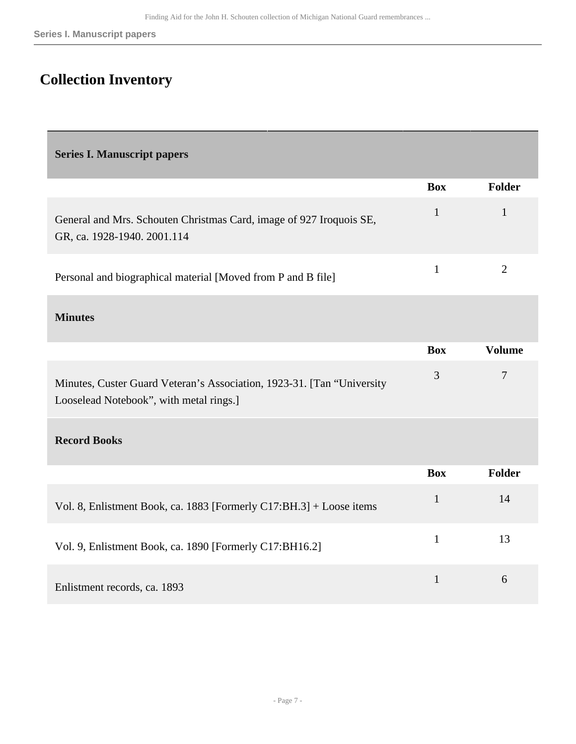## <span id="page-6-0"></span>**Collection Inventory**

<span id="page-6-1"></span>

|  |  | <b>Series I. Manuscript papers</b> |  |  |
|--|--|------------------------------------|--|--|
|--|--|------------------------------------|--|--|

|                                                                                                                   | <b>Box</b>   | Folder         |
|-------------------------------------------------------------------------------------------------------------------|--------------|----------------|
| General and Mrs. Schouten Christmas Card, image of 927 Iroquois SE,<br>GR, ca. 1928-1940. 2001.114                | $\mathbf{1}$ | $\mathbf{1}$   |
| Personal and biographical material [Moved from P and B file]                                                      | $\mathbf{1}$ | $\overline{2}$ |
| <b>Minutes</b>                                                                                                    |              |                |
|                                                                                                                   | <b>Box</b>   | <b>Volume</b>  |
| Minutes, Custer Guard Veteran's Association, 1923-31. [Tan "University<br>Looselead Notebook", with metal rings.] | 3            | $\tau$         |
| <b>Record Books</b>                                                                                               |              |                |
|                                                                                                                   | <b>Box</b>   | Folder         |
| Vol. 8, Enlistment Book, ca. 1883 [Formerly C17:BH.3] + Loose items                                               | $\mathbf{1}$ | 14             |
| Vol. 9, Enlistment Book, ca. 1890 [Formerly C17:BH16.2]                                                           | $\mathbf{1}$ | 13             |
| Enlistment records, ca. 1893                                                                                      | $\mathbf{1}$ | 6              |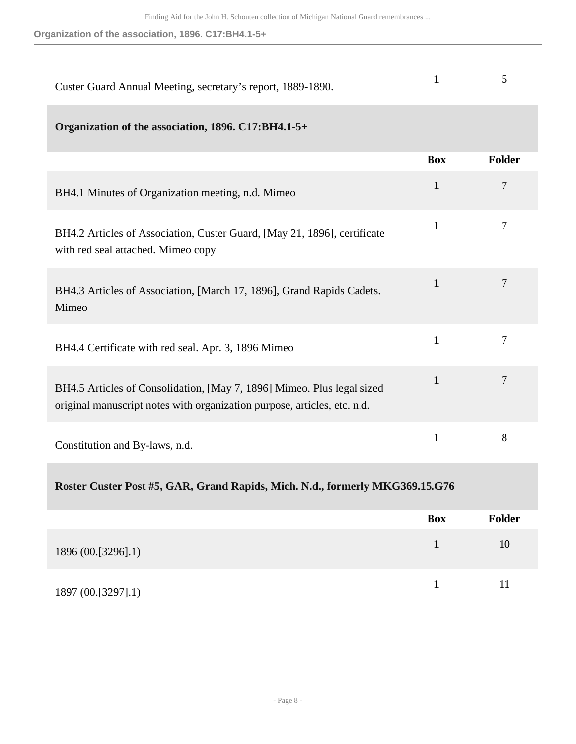**Organization of the association, 1896. C17:BH4.1-5+**

| Custer Guard Annual Meeting, secretary's report, 1889-1890.                                                                                        | $\mathbf{1}$ | 5              |
|----------------------------------------------------------------------------------------------------------------------------------------------------|--------------|----------------|
| Organization of the association, 1896. C17:BH4.1-5+                                                                                                |              |                |
|                                                                                                                                                    | <b>Box</b>   | Folder         |
| BH4.1 Minutes of Organization meeting, n.d. Mimeo                                                                                                  | $\mathbf{1}$ | $\overline{7}$ |
| BH4.2 Articles of Association, Custer Guard, [May 21, 1896], certificate<br>with red seal attached. Mimeo copy                                     | $\mathbf{1}$ | 7              |
| BH4.3 Articles of Association, [March 17, 1896], Grand Rapids Cadets.<br>Mimeo                                                                     | $\mathbf{1}$ | 7              |
| BH4.4 Certificate with red seal. Apr. 3, 1896 Mimeo                                                                                                | $\mathbf{1}$ | 7              |
| BH4.5 Articles of Consolidation, [May 7, 1896] Mimeo. Plus legal sized<br>original manuscript notes with organization purpose, articles, etc. n.d. | $\mathbf{1}$ | 7              |
| Constitution and By-laws, n.d.                                                                                                                     | $\mathbf{1}$ | 8              |
|                                                                                                                                                    |              |                |

#### **Roster Custer Post #5, GAR, Grand Rapids, Mich. N.d., formerly MKG369.15.G76**

|                    | <b>Box</b> | <b>Folder</b> |
|--------------------|------------|---------------|
| 1896 (00.[3296].1) |            | 10            |
| 1897 (00.[3297].1) |            | 11            |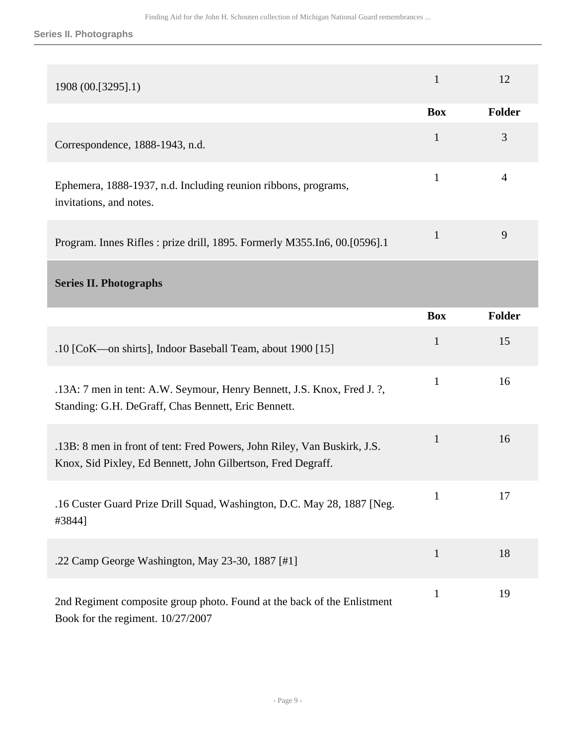**Series II. Photographs**

<span id="page-8-0"></span>

| 1908 (00.[3295].1)                                                                                                                       | $\mathbf{1}$ | 12             |
|------------------------------------------------------------------------------------------------------------------------------------------|--------------|----------------|
|                                                                                                                                          | <b>Box</b>   | Folder         |
| Correspondence, 1888-1943, n.d.                                                                                                          | $\mathbf{1}$ | 3              |
| Ephemera, 1888-1937, n.d. Including reunion ribbons, programs,<br>invitations, and notes.                                                | $\mathbf{1}$ | $\overline{4}$ |
| Program. Innes Rifles: prize drill, 1895. Formerly M355.In6, 00.[0596].1                                                                 | $\mathbf{1}$ | 9              |
| <b>Series II. Photographs</b>                                                                                                            |              |                |
|                                                                                                                                          | <b>Box</b>   | Folder         |
| .10 [CoK—on shirts], Indoor Baseball Team, about 1900 [15]                                                                               | $\mathbf{1}$ | 15             |
| .13A: 7 men in tent: A.W. Seymour, Henry Bennett, J.S. Knox, Fred J. ?,<br>Standing: G.H. DeGraff, Chas Bennett, Eric Bennett.           | $\mathbf{1}$ | 16             |
| .13B: 8 men in front of tent: Fred Powers, John Riley, Van Buskirk, J.S.<br>Knox, Sid Pixley, Ed Bennett, John Gilbertson, Fred Degraff. | $\mathbf{1}$ | 16             |
| .16 Custer Guard Prize Drill Squad, Washington, D.C. May 28, 1887 [Neg.<br>#3844]                                                        | $\mathbf{1}$ | 17             |
| .22 Camp George Washington, May 23-30, 1887 [#1]                                                                                         | $\mathbf{1}$ | 18             |
| 2nd Regiment composite group photo. Found at the back of the Enlistment<br>Book for the regiment. 10/27/2007                             | $\mathbf{1}$ | 19             |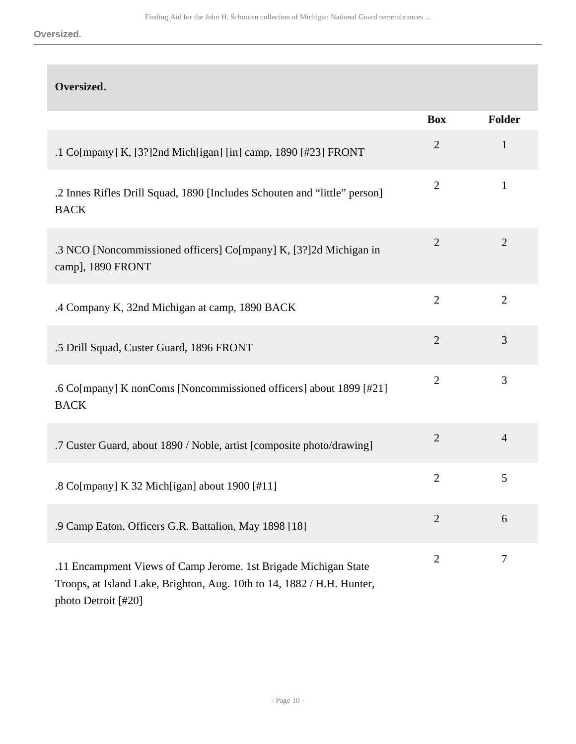**Oversized.**

| Oversized.                                                                                                                                |                |                |
|-------------------------------------------------------------------------------------------------------------------------------------------|----------------|----------------|
|                                                                                                                                           | <b>Box</b>     | Folder         |
| .1 Co[mpany] K, [3?]2nd Mich[igan] [in] camp, 1890 [#23] FRONT                                                                            | $\overline{2}$ | $\mathbf{1}$   |
| .2 Innes Rifles Drill Squad, 1890 [Includes Schouten and "little" person]<br><b>BACK</b>                                                  | $\overline{2}$ | $\mathbf{1}$   |
| .3 NCO [Noncommissioned officers] Co[mpany] K, [3?]2d Michigan in<br>camp], 1890 FRONT                                                    | $\overline{2}$ | $\overline{2}$ |
| .4 Company K, 32nd Michigan at camp, 1890 BACK                                                                                            | $\overline{2}$ | $\overline{2}$ |
| .5 Drill Squad, Custer Guard, 1896 FRONT                                                                                                  | $\overline{2}$ | 3              |
| .6 Co[mpany] K nonComs [Noncommissioned officers] about 1899 [#21]<br><b>BACK</b>                                                         | $\overline{2}$ | 3              |
| .7 Custer Guard, about 1890 / Noble, artist [composite photo/drawing]                                                                     | $\overline{2}$ | $\overline{4}$ |
| .8 Co[mpany] K 32 Mich[igan] about 1900 [#11]                                                                                             | $\overline{2}$ | 5              |
| .9 Camp Eaton, Officers G.R. Battalion, May 1898 [18]                                                                                     | $\overline{2}$ | 6              |
| .11 Encampment Views of Camp Jerome. 1st Brigade Michigan State<br>Troops, at Island Lake, Brighton, Aug. 10th to 14, 1882 / H.H. Hunter, | $\overline{2}$ | $\tau$         |

photo Detroit [#20]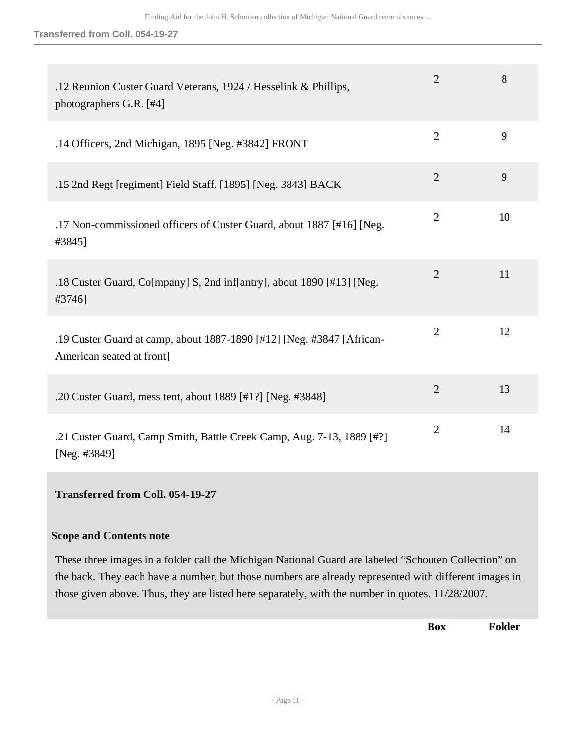| .12 Reunion Custer Guard Veterans, 1924 / Hesselink & Phillips,<br>photographers G.R. [#4]         | 2              | 8  |
|----------------------------------------------------------------------------------------------------|----------------|----|
| .14 Officers, 2nd Michigan, 1895 [Neg. #3842] FRONT                                                | $\overline{2}$ | 9  |
| .15 2nd Regt [regiment] Field Staff, [1895] [Neg. 3843] BACK                                       | $\overline{2}$ | 9  |
| .17 Non-commissioned officers of Custer Guard, about 1887 [#16] [Neg.<br>#3845]                    | $\overline{2}$ | 10 |
| .18 Custer Guard, Co[mpany] S, 2nd inf[antry], about 1890 [#13] [Neg.<br>#3746]                    | $\overline{2}$ | 11 |
| .19 Custer Guard at camp, about 1887-1890 [#12] [Neg. #3847 [African-<br>American seated at front] | $\overline{2}$ | 12 |
| .20 Custer Guard, mess tent, about 1889 [#1?] [Neg. #3848]                                         | $\overline{2}$ | 13 |
| .21 Custer Guard, Camp Smith, Battle Creek Camp, Aug. 7-13, 1889 [#?]<br>[Neg. #3849]              | $\overline{2}$ | 14 |

#### **Transferred from Coll. 054-19-27**

#### **Scope and Contents note**

These three images in a folder call the Michigan National Guard are labeled "Schouten Collection" on the back. They each have a number, but those numbers are already represented with different images in those given above. Thus, they are listed here separately, with the number in quotes. 11/28/2007.

**Box Folder**